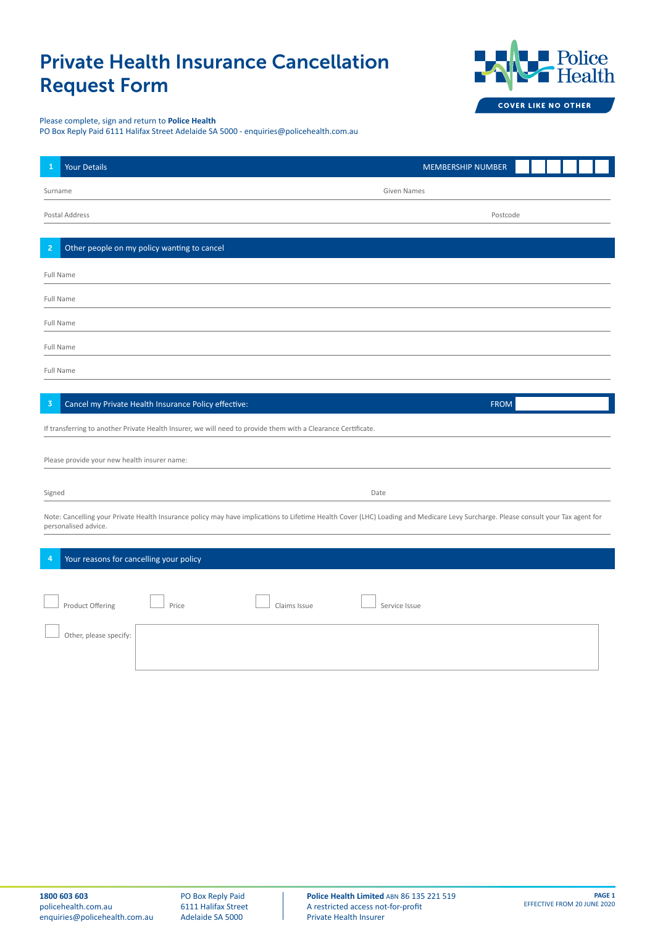## Private Health Insurance Cancellation Request Form



## Please complete, sign and return to **Police Health**

PO Box Reply Paid 6111 Halifax Street Adelaide SA 5000 - enquiries@policehealth.com.au

| Your Details<br>1                                                                                                                                                                                         | MEMBERSHIP NUMBER |  |
|-----------------------------------------------------------------------------------------------------------------------------------------------------------------------------------------------------------|-------------------|--|
| Surname                                                                                                                                                                                                   | Given Names       |  |
| Postal Address                                                                                                                                                                                            | Postcode          |  |
| Other people on my policy wanting to cancel<br>$\overline{2}$                                                                                                                                             |                   |  |
| <b>Full Name</b>                                                                                                                                                                                          |                   |  |
| <b>Full Name</b>                                                                                                                                                                                          |                   |  |
| Full Name                                                                                                                                                                                                 |                   |  |
| Full Name                                                                                                                                                                                                 |                   |  |
| Full Name                                                                                                                                                                                                 |                   |  |
|                                                                                                                                                                                                           |                   |  |
| Cancel my Private Health Insurance Policy effective:<br>$\overline{3}$                                                                                                                                    | <b>FROM</b>       |  |
| If transferring to another Private Health Insurer, we will need to provide them with a Clearance Certificate.                                                                                             |                   |  |
| Please provide your new health insurer name:                                                                                                                                                              |                   |  |
|                                                                                                                                                                                                           |                   |  |
| Signed                                                                                                                                                                                                    | Date              |  |
| Note: Cancelling your Private Health Insurance policy may have implications to Lifetime Health Cover (LHC) Loading and Medicare Levy Surcharge. Please consult your Tax agent for<br>personalised advice. |                   |  |
|                                                                                                                                                                                                           |                   |  |
| Your reasons for cancelling your policy<br>4                                                                                                                                                              |                   |  |
|                                                                                                                                                                                                           |                   |  |
| Product Offering<br>Price<br>Claims Issue                                                                                                                                                                 | Service Issue     |  |
| Other, please specify:                                                                                                                                                                                    |                   |  |
|                                                                                                                                                                                                           |                   |  |

PO Box Reply Paid 6111 Halifax Street Adelaide SA 5000